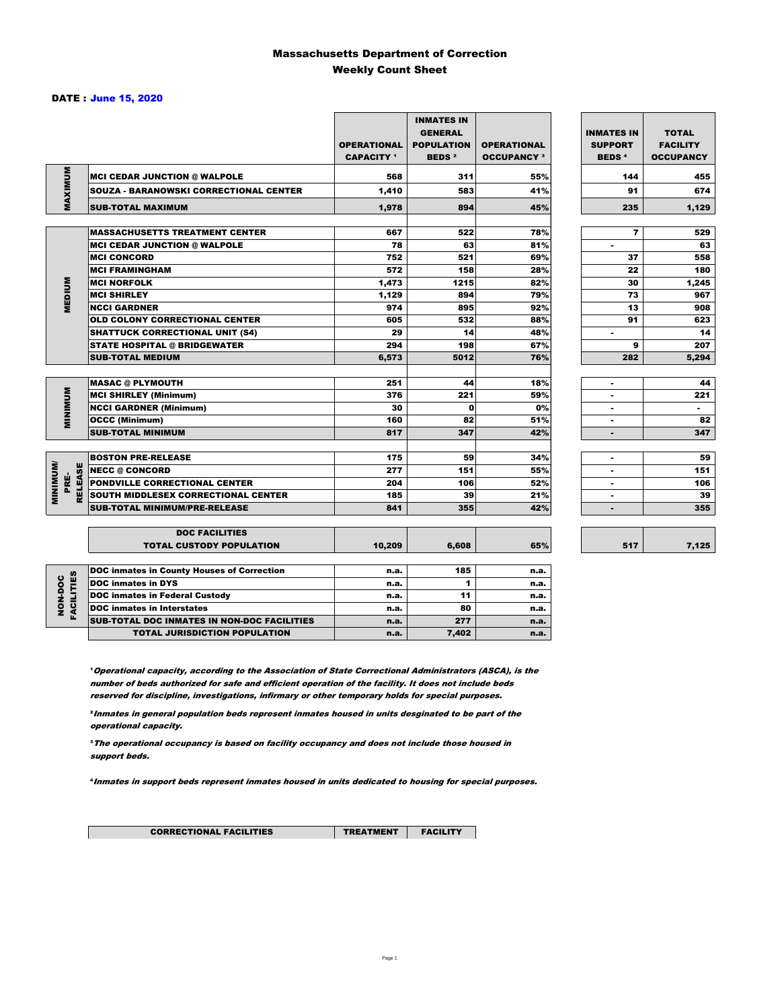### Massachusetts Department of Correction Weekly Count Sheet

### DATE : June 15, 2020

|                                   |                                                   | <b>OPERATIONAL</b><br><b>CAPACITY</b> <sup>1</sup> | <b>INMATES IN</b><br><b>GENERAL</b><br><b>POPULATION</b><br><b>BEDS<sup>2</sup></b> | <b>OPERATIONAL</b><br><b>OCCUPANCY 3</b> | <b>INMATES IN</b><br><b>SUPPORT</b><br><b>BEDS<sup>4</sup></b> | <b>TOTAL</b><br><b>FACILITY</b><br><b>OCCUPANCY</b> |
|-----------------------------------|---------------------------------------------------|----------------------------------------------------|-------------------------------------------------------------------------------------|------------------------------------------|----------------------------------------------------------------|-----------------------------------------------------|
| MAXIMUM                           | <b>INCI CEDAR JUNCTION @ WALPOLE</b>              | 568                                                | 311                                                                                 | 55%                                      | 144                                                            | 455                                                 |
|                                   | <b>SOUZA - BARANOWSKI CORRECTIONAL CENTER</b>     | 1,410                                              | 583                                                                                 | 41%                                      | 91                                                             | 674                                                 |
|                                   | <b>SUB-TOTAL MAXIMUM</b>                          | 1,978                                              | 894                                                                                 | 45%                                      | 235                                                            | 1,129                                               |
|                                   | <b>MASSACHUSETTS TREATMENT CENTER</b>             | 667                                                | 522                                                                                 | 78%                                      | $\overline{\mathbf{r}}$                                        | 529                                                 |
|                                   | <b>MCI CEDAR JUNCTION @ WALPOLE</b>               | 78                                                 | 63                                                                                  | 81%                                      | ٠                                                              | 63                                                  |
|                                   | <b>IMCI CONCORD</b>                               | 752                                                | 521                                                                                 | 69%                                      | 37                                                             | 558                                                 |
|                                   | <b>MCI FRAMINGHAM</b>                             | 572                                                | 158                                                                                 | 28%                                      | 22                                                             | 180                                                 |
|                                   | <b>MCI NORFOLK</b>                                | 1,473                                              | 1215                                                                                | 82%                                      | 30                                                             | 1,245                                               |
| <b>MEDIUM</b>                     | <b>MCI SHIRLEY</b>                                | 1,129                                              | 894                                                                                 | 79%                                      | 73                                                             | 967                                                 |
|                                   | <b>NCCI GARDNER</b>                               | 974                                                | 895                                                                                 | 92%                                      | 13                                                             | 908                                                 |
|                                   | <b>OLD COLONY CORRECTIONAL CENTER</b>             | 605                                                | 532                                                                                 | 88%                                      | 91                                                             | 623                                                 |
|                                   | <b>SHATTUCK CORRECTIONAL UNIT (S4)</b>            | 29                                                 | 14                                                                                  | 48%                                      | ٠                                                              | 14                                                  |
|                                   | <b>STATE HOSPITAL @ BRIDGEWATER</b>               | 294                                                | 198                                                                                 | 67%                                      | 9                                                              | 207                                                 |
|                                   | <b>SUB-TOTAL MEDIUM</b>                           | 6,573                                              | 5012                                                                                | 76%                                      | 282                                                            | 5,294                                               |
|                                   | <b>MASAC @ PLYMOUTH</b>                           | 251                                                | 44                                                                                  | 18%                                      | ۰                                                              | 44                                                  |
|                                   | <b>MCI SHIRLEY (Minimum)</b>                      | 376                                                | 221                                                                                 | 59%                                      |                                                                | 221                                                 |
| <b>MINIMUM</b>                    | <b>NCCI GARDNER (Minimum)</b>                     | 30                                                 | 0                                                                                   | 0%                                       | ٠                                                              | $\sim$                                              |
|                                   | <b>OCCC (Minimum)</b>                             | 160                                                | 82                                                                                  | 51%                                      | ٠                                                              | 82                                                  |
|                                   | <b>SUB-TOTAL MINIMUM</b>                          | 817                                                | 347                                                                                 | 42%                                      | ٠                                                              | 347                                                 |
|                                   |                                                   |                                                    |                                                                                     |                                          |                                                                |                                                     |
|                                   | <b>BOSTON PRE-RELEASE</b>                         | 175                                                | 59                                                                                  | 34%                                      | ٠                                                              | 59                                                  |
|                                   | <b>NECC @ CONCORD</b>                             | 277                                                | 151                                                                                 | 55%                                      |                                                                | 151                                                 |
| PRË-                              | <b>PONDVILLE CORRECTIONAL CENTER</b>              | 204                                                | 106                                                                                 | 52%                                      | ٠                                                              | 106                                                 |
| <b>MINIMINI</b><br><b>RELEASE</b> | SOUTH MIDDLESEX CORRECTIONAL CENTER               | 185                                                | 39                                                                                  | 21%                                      | $\blacksquare$                                                 | 39                                                  |
|                                   | <b>SUB-TOTAL MINIMUM/PRE-RELEASE</b>              | 841                                                | 355                                                                                 | 42%                                      |                                                                | 355                                                 |
|                                   | <b>DOC FACILITIES</b>                             |                                                    |                                                                                     |                                          |                                                                |                                                     |
|                                   | <b>TOTAL CUSTODY POPULATION</b>                   | 10,209                                             | 6,608                                                                               | 65%                                      | 517                                                            | 7,125                                               |
|                                   | <b>DOC inmates in County Houses of Correction</b> | n.a.                                               | 185                                                                                 | n.a.                                     |                                                                |                                                     |
| <b>FACILITIES</b>                 | <b>DOC</b> inmates in DYS                         | n.a.                                               | 1                                                                                   | n.a.                                     |                                                                |                                                     |
| NON-DOC                           | <b>DOC inmates in Federal Custody</b>             | n.a.                                               | 11                                                                                  | n.a.                                     |                                                                |                                                     |
|                                   | <b>DOC</b> inmates in Interstates                 | n.a.                                               | 80                                                                                  | n.a.                                     |                                                                |                                                     |
|                                   | CUR TOTAL BOO INIMETED IN NON-BOO FACU ITIED      |                                                    | $- - -$                                                                             |                                          |                                                                |                                                     |

**Operational capacity, according to the Association of State Correctional Administrators (ASCA), is the** number of beds authorized for safe and efficient operation of the facility. It does not include beds reserved for discipline, investigations, infirmary or other temporary holds for special purposes.

SUB-TOTAL DOC INMATES IN NON-DOC FACILITIES n.a. 277 n.a. TOTAL JURISDICTION POPULATION **n.a.** 7,402 n.a.

²Inmates in general population beds represent inmates housed in units desginated to be part of the operational capacity.

³The operational occupancy is based on facility occupancy and does not include those housed in support beds.

⁴Inmates in support beds represent inmates housed in units dedicated to housing for special purposes.

25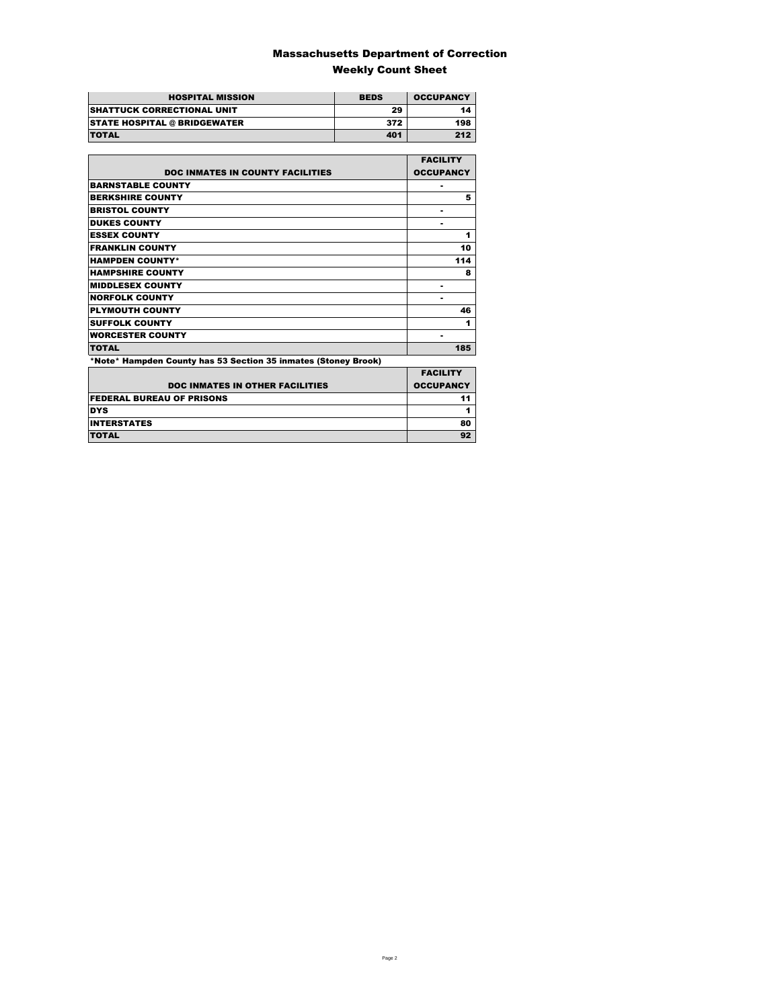### Massachusetts Department of Correction Weekly Count Sheet

| <b>HOSPITAL MISSION</b>             | <b>BEDS</b> | <b>OCCUPANCY</b> |
|-------------------------------------|-------------|------------------|
| <b>SHATTUCK CORRECTIONAL UNIT</b>   | 29          | 14               |
| <b>STATE HOSPITAL @ BRIDGEWATER</b> | 372         | 198              |
| <b>TOTAL</b>                        | 401         | 212              |

|                                                                | <b>FACILITY</b>  |
|----------------------------------------------------------------|------------------|
| <b>DOC INMATES IN COUNTY FACILITIES</b>                        | <b>OCCUPANCY</b> |
| <b>BARNSTABLE COUNTY</b>                                       | ۰                |
| <b>BERKSHIRE COUNTY</b>                                        | 5                |
| <b>BRISTOL COUNTY</b>                                          | ۰                |
| <b>DUKES COUNTY</b>                                            | -                |
| <b>ESSEX COUNTY</b>                                            | 1                |
| <b>FRANKLIN COUNTY</b>                                         | 10               |
| <b>HAMPDEN COUNTY*</b>                                         | 114              |
| <b>HAMPSHIRE COUNTY</b>                                        | 8                |
| <b>MIDDLESEX COUNTY</b>                                        | ۰                |
| <b>NORFOLK COUNTY</b>                                          | -                |
| <b>PLYMOUTH COUNTY</b>                                         | 46               |
| <b>SUFFOLK COUNTY</b>                                          | 1                |
| <b>WORCESTER COUNTY</b>                                        | ۰                |
| <b>TOTAL</b>                                                   | 185              |
| *Note* Hampden County has 53 Section 35 inmates (Stoney Brook) |                  |
|                                                                | <b>EACH ITV</b>  |

| <b>DOC INMATES IN OTHER FACILITIES</b> | <b>FACILITY</b><br><b>OCCUPANCY</b> |
|----------------------------------------|-------------------------------------|
| <b>FEDERAL BUREAU OF PRISONS</b>       |                                     |
| <b>DYS</b>                             |                                     |
| <b>INTERSTATES</b>                     | 80                                  |
| <b>TOTAL</b>                           |                                     |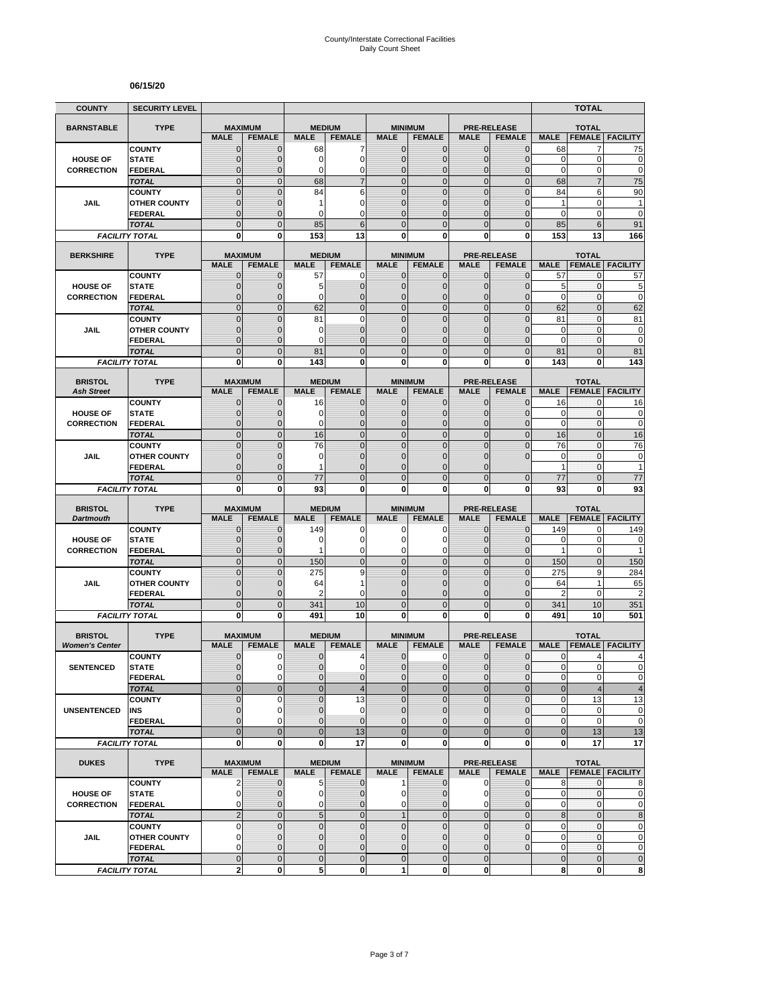#### **06/15/20**

| <b>COUNTY</b>                           | <b>SECURITY LEVEL</b>                 |                                |                                 |                              |                                |                                |                                 |                              |                                     |                            | <b>TOTAL</b>                   |                            |
|-----------------------------------------|---------------------------------------|--------------------------------|---------------------------------|------------------------------|--------------------------------|--------------------------------|---------------------------------|------------------------------|-------------------------------------|----------------------------|--------------------------------|----------------------------|
| <b>BARNSTABLE</b>                       | <b>TYPE</b>                           | <b>MAXIMUM</b>                 |                                 | <b>MEDIUM</b>                |                                |                                | <b>MINIMUM</b>                  |                              | <b>PRE-RELEASE</b>                  |                            | <b>TOTAL</b>                   |                            |
|                                         |                                       | <b>MALE</b>                    | <b>FEMALE</b>                   | <b>MALE</b>                  | <b>FEMALE</b>                  | <b>MALE</b>                    | <b>FEMALE</b>                   | <b>MALE</b>                  | <b>FEMALE</b>                       | <b>MALE</b>                | <b>FEMALE</b>                  | <b>FACILITY</b>            |
|                                         | <b>COUNTY</b>                         | $\mathbf 0$                    | $\mathbf{0}$                    | 68                           | 7<br>$\mathbf 0$               | $\mathbf{0}$                   | 0                               | $\mathbf{0}$                 | $\overline{0}$                      | 68                         | 7<br>0                         | 75                         |
| <b>HOUSE OF</b><br><b>CORRECTION</b>    | <b>STATE</b><br><b>FEDERAL</b>        | $\overline{0}$<br>0            | $\mathbf 0$<br>$\mathbf 0$      | 0<br>0                       | 0                              | $\overline{0}$<br>0            | $\overline{0}$<br>$\mathbf 0$   | $\mathbf 0$<br>$\mathbf 0$   | $\overline{0}$<br>0                 | $\mathbf 0$<br>$\mathbf 0$ | 0                              | $\mathbf 0$<br>$\mathbf 0$ |
|                                         | <b>TOTAL</b>                          | $\overline{0}$                 | $\overline{0}$                  | 68                           | $\overline{7}$                 | $\mathbf 0$                    | $\mathbf 0$                     | $\mathbf{0}$                 | $\mathbf 0$                         | 68                         | $\overline{7}$                 | 75                         |
|                                         | <b>COUNTY</b>                         | $\overline{0}$                 | $\overline{0}$                  | 84                           | 6                              | $\Omega$                       | $\mathbf 0$                     | $\mathbf{0}$                 | $\overline{0}$                      | 84                         | 6                              | 90                         |
| JAIL                                    | <b>OTHER COUNTY</b>                   | $\mathbf{0}$                   | $\mathbf 0$                     | 1                            | $\mathbf 0$                    | $\overline{0}$                 | $\overline{0}$                  | $\Omega$                     | $\overline{0}$                      | $\mathbf{1}$               | 0                              | $\mathbf{1}$               |
|                                         | FEDERAL                               | $\mathbf 0$                    | $\Omega$                        | $\Omega$                     | $\Omega$                       | $\Omega$                       | $\overline{0}$                  | $\Omega$                     | $\overline{0}$                      | 0                          | 0                              | $\mathbf 0$                |
|                                         | <b>TOTAL</b><br><b>FACILITY TOTAL</b> | $\overline{0}$<br>0            | $\Omega$<br>$\bf{0}$            | 85<br>153                    | 6<br>13                        | $\Omega$<br>0                  | $\overline{0}$<br>0             | $\Omega$<br>0                | $\overline{0}$<br>0                 | 85<br>153                  | 6<br>13                        | 91<br>166                  |
|                                         |                                       |                                |                                 |                              |                                |                                |                                 |                              |                                     |                            |                                |                            |
| <b>BERKSHIRE</b>                        | <b>TYPE</b>                           |                                | <b>MAXIMUM</b>                  |                              | <b>MEDIUM</b>                  |                                | <b>MINIMUM</b>                  |                              | <b>PRE-RELEASE</b>                  |                            | <b>TOTAL</b>                   |                            |
|                                         |                                       | <b>MALE</b>                    | <b>FEMALE</b>                   | <b>MALE</b>                  | <b>FEMALE</b>                  | <b>MALE</b>                    | <b>FEMALE</b>                   | <b>MALE</b>                  | <b>FEMALE</b>                       | <b>MALE</b>                | <b>FEMALE</b>                  | <b>FACILITY</b>            |
| <b>HOUSE OF</b>                         | <b>COUNTY</b><br><b>STATE</b>         | $\mathbf 0$<br>$\mathbf 0$     | $\mathbf 0$<br>$\mathbf 0$      | 57<br>5                      | 0<br>$\mathbf{0}$              | 0<br>$\mathbf{0}$              | $\mathbf{0}$<br>$\mathbf 0$     | $\mathbf{0}$<br>$\mathbf{0}$ | $\mathbf{0}$<br>$\overline{0}$      | 57<br>5                    | 0<br>0                         | 57<br>5                    |
| <b>CORRECTION</b>                       | <b>FEDERAL</b>                        | $\overline{0}$                 | $\mathbf 0$                     | 0                            | $\mathbf{0}$                   | 0                              | $\overline{0}$                  | $\mathbf{0}$                 | $\overline{0}$                      | $\mathbf 0$                | $\mathbf 0$                    | $\mathbf 0$                |
|                                         | <b>TOTAL</b>                          | $\overline{0}$                 | $\overline{0}$                  | 62                           | $\mathbf 0$                    | $\mathbf 0$                    | $\overline{0}$                  | $\mathbf{0}$                 | $\overline{0}$                      | 62                         | $\overline{0}$                 | 62                         |
|                                         | <b>COUNTY</b>                         | $\overline{0}$                 | $\overline{0}$                  | 81                           | $\mathbf 0$                    | $\mathbf 0$                    | $\overline{0}$                  | $\mathbf{0}$                 | $\overline{0}$                      | 81                         | $\mathbf{0}$                   | 81                         |
| JAIL                                    | <b>OTHER COUNTY</b>                   | $\mathbf{0}$                   | $\mathbf 0$                     | 0                            | $\mathbf{0}$                   | $\mathbf{0}$                   | $\mathbf 0$                     | $\Omega$                     | $\mathbf{0}$                        | $\mathbf 0$                | $\mathbf{0}$                   | 0                          |
|                                         | <b>FEDERAL</b>                        | $\mathbf 0$<br>$\mathbf 0$     | $\mathbf 0$<br>$\overline{0}$   | 0                            | $\mathbf{0}$<br>$\mathbf 0$    | $\mathbf{0}$<br>$\overline{0}$ | $\mathbf 0$<br>$\mathbf 0$      | $\mathbf{0}$<br>$\mathbf{0}$ | $\overline{0}$<br>$\mathbf 0$       | $\mathbf 0$                | $\mathbf{0}$<br>$\overline{0}$ | $\mathbf 0$                |
|                                         | <b>TOTAL</b><br><b>FACILITY TOTAL</b> | 0                              | 0                               | 81<br>143                    | 0                              | $\mathbf{0}$                   | 0                               | $\bf{0}$                     | 0                                   | 81<br>143                  | 0                              | 81<br>143                  |
|                                         |                                       |                                |                                 |                              |                                |                                |                                 |                              |                                     |                            |                                |                            |
| <b>BRISTOL</b>                          | <b>TYPE</b>                           | <b>MAXIMUM</b>                 |                                 | <b>MEDIUM</b>                |                                |                                | <b>MINIMUM</b>                  |                              | <b>PRE-RELEASE</b>                  |                            | <b>TOTAL</b>                   |                            |
| <b>Ash Street</b>                       |                                       | <b>MALE</b>                    | <b>FEMALE</b>                   | <b>MALE</b>                  | <b>FEMALE</b>                  | <b>MALE</b>                    | <b>FEMALE</b>                   | <b>MALE</b>                  | <b>FEMALE</b>                       | <b>MALE</b>                |                                | <b>FEMALE FACILITY</b>     |
| <b>HOUSE OF</b>                         | <b>COUNTY</b><br><b>STATE</b>         | $\mathbf{0}$<br>$\overline{0}$ | $\mathbf 0$<br>$\mathbf 0$      | 16<br>0                      | $\mathbf{0}$<br>$\mathbf 0$    | $\mathbf{0}$<br>$\Omega$       | 0<br>$\mathbf{0}$               | $\mathbf{0}$<br>$\mathbf{0}$ | 0<br>$\overline{0}$                 | 16<br>0                    | 0<br>0                         | 16<br>$\pmb{0}$            |
| <b>CORRECTION</b>                       | <b>FEDERAL</b>                        | $\mathbf{0}$                   | $\mathbf 0$                     | $\Omega$                     | $\mathbf 0$                    | $\Omega$                       | $\mathbf 0$                     | $\mathbf{0}$                 | $\overline{0}$                      | $\mathbf 0$                | $\mathbf{0}$                   | $\mathbf 0$                |
|                                         | <b>TOTAL</b>                          | $\overline{0}$                 | $\Omega$                        | 16                           | $\overline{0}$                 | $\mathbf 0$                    | $\overline{0}$                  | $\mathbf{0}$                 | $\overline{0}$                      | 16                         | $\overline{0}$                 | 16                         |
|                                         | <b>COUNTY</b>                         | $\overline{0}$                 | $\Omega$                        | 76                           | $\overline{0}$                 | $\overline{0}$                 | $\overline{0}$                  | $\Omega$                     | 0                                   | 76                         | $\overline{0}$                 | 76                         |
| JAIL                                    | <b>OTHER COUNTY</b>                   | $\mathbf 0$                    | $\mathbf 0$                     | $\mathbf 0$                  | $\mathbf 0$                    | $\mathbf{0}$                   | $\mathbf 0$                     | $\mathbf 0$                  | 0                                   | $\mathbf 0$                | $\mathbf{0}$                   | $\mathbf 0$                |
|                                         | <b>FEDERAL</b>                        | $\overline{0}$                 | $\mathbf 0$                     |                              | $\overline{0}$                 | $\Omega$                       | 0                               | $\Omega$                     |                                     | 1                          | 0                              |                            |
|                                         | <b>TOTAL</b><br><b>FACILITY TOTAL</b> | $\overline{0}$<br>0            | $\mathbf{0}$<br>0               | 77<br>93                     | $\mathbf{0}$<br>0              | $\mathbf{0}$<br>$\mathbf{0}$   | $\overline{0}$<br>0             | $\Omega$<br>0                | $\overline{0}$<br>0                 | 77<br>93                   | $\overline{0}$<br>0            | 77<br>93                   |
|                                         |                                       |                                |                                 |                              |                                |                                |                                 |                              |                                     |                            |                                |                            |
| <b>BRISTOL</b>                          | <b>TYPE</b>                           | <b>MAXIMUM</b>                 |                                 | <b>MEDIUM</b>                |                                |                                | <b>MINIMUM</b>                  |                              | <b>PRE-RELEASE</b>                  |                            | <b>TOTAL</b>                   |                            |
| <b>Dartmouth</b>                        | <b>COUNTY</b>                         | <b>MALE</b><br>$\mathbf 0$     | <b>FEMALE</b><br>$\mathbf 0$    | <b>MALE</b><br>149           | <b>FEMALE</b><br>0             | <b>MALE</b><br>0               | <b>FEMALE</b><br>0              | <b>MALE</b><br>$\mathbf{0}$  | <b>FEMALE</b><br>$\overline{0}$     | <b>MALE</b><br>149         | <b>FEMALE</b><br>0             | <b>FACILITY</b><br>149     |
| <b>HOUSE OF</b>                         | <b>STATE</b>                          | $\overline{0}$                 | $\Omega$                        | 0                            | $\mathbf 0$                    | $\Omega$                       | 0                               | $\Omega$                     | $\mathbf 0$                         | $\mathbf 0$                | $\pmb{0}$                      | 0                          |
| <b>CORRECTION</b>                       | <b>FEDERAL</b>                        | $\overline{0}$                 | $\mathbf{0}$                    | 1                            | 0                              | 0                              | 0                               | $\mathbf{0}$                 | $\overline{0}$                      | $\mathbf{1}$               | $\mathbf 0$                    | 1                          |
|                                         | <b>TOTAL</b>                          | $\overline{0}$                 | $\mathbf{0}$                    | 150                          | $\overline{0}$                 | $\overline{0}$                 | $\mathbf 0$                     | $\mathbf{0}$                 | $\mathbf 0$                         | 150                        | $\overline{0}$                 | 150                        |
|                                         | <b>COUNTY</b>                         | $\mathbf 0$                    | $\mathbf{0}$                    | 275                          | 9                              | $\mathbf{0}$                   | $\mathbf 0$                     | $\mathbf{0}$                 | $\mathbf 0$                         | 275                        | 9                              | 284                        |
| JAIL                                    | <b>OTHER COUNTY</b><br><b>FEDERAL</b> | $\overline{0}$<br>$\mathbf 0$  | $\mathbf 0$<br>$\mathbf 0$      | 64<br>2                      | 1<br>$\mathbf 0$               | $\overline{0}$<br>0            | $\overline{0}$<br>$\mathbf 0$   | $\Omega$<br>$\mathbf{0}$     | $\overline{0}$<br>0                 | 64<br>$\overline{2}$       | 1<br>0                         | 65<br>$\overline{2}$       |
|                                         | <b>TOTAL</b>                          | $\mathbf 0$                    | $\overline{0}$                  | 341                          | 10                             | $\overline{0}$                 | $\mathbf 0$                     | $\mathbf{0}$                 | $\mathbf 0$                         | 341                        | 10                             | 351                        |
|                                         | <b>FACILITY TOTAL</b>                 | O                              | 0                               | 491                          | 10                             | 0                              | $\bf{0}$                        | 0                            | 0                                   | 491                        | 10                             | 501                        |
|                                         |                                       |                                |                                 |                              |                                |                                |                                 |                              |                                     |                            |                                |                            |
| <b>BRISTOL</b><br><b>Women's Center</b> | <b>TYPE</b>                           | <b>MAXIMUM</b><br><b>MALE</b>  | <b>FEMALE</b>                   | <b>MEDIUM</b><br><b>MALE</b> | <b>FEMALE</b>                  | <b>MALE</b>                    | <b>MINIMUM</b><br><b>FEMALE</b> | <b>MALE</b>                  | <b>PRE-RELEASE</b><br><b>FEMALE</b> | <b>MALE</b>                | <b>TOTAL</b><br><b>FEMALE</b>  | <b>FACILITY</b>            |
|                                         | <b>COUNTY</b>                         | $\mathbf{0}$                   | 0                               | 0                            | 4                              | $\mathbf 0$                    | 0                               | $\mathbf 0$                  | $\mathbf 0$                         | 0                          | 4                              | 4                          |
| <b>SENTENCED</b>                        | <b>STATE</b>                          | $\overline{0}$                 | 0                               | $\overline{0}$               | $\mathbf 0$                    | $\Omega$                       | $\mathbf 0$                     | $\mathbf{0}$                 | $\mathbf 0$                         | $\mathbf{0}$               | $\overline{0}$                 | $\Omega$                   |
|                                         | <b>FEDERAL</b>                        | $\mathbf{0}$                   | 0                               | 0                            | $\pmb{0}$                      | $\mathbf 0$                    | 0                               | $\mathbf 0$                  | 0                                   | 0                          | 0                              | $\pmb{0}$                  |
|                                         | <b>TOTAL</b>                          | $\overline{0}$                 | $\overline{0}$                  | $\overline{0}$               | $\overline{4}$                 | $\overline{0}$                 | $\mathbf 0$                     | $\mathbf{0}$                 | $\overline{0}$                      | $\bf 0$                    | 4                              | $\overline{\mathbf{4}}$    |
|                                         | <b>COUNTY</b>                         | $\overline{0}$                 | $\Omega$                        | $\overline{0}$               | 13                             | $\Omega$                       | $\overline{0}$                  | $\Omega$                     | $\mathbf 0$                         | $\pmb{0}$                  | 13                             | 13                         |
| <b>UNSENTENCED</b>                      | INS<br><b>FEDERAL</b>                 | $\mathbf 0$<br>$\overline{0}$  | 0<br>$\Omega$                   | $\pmb{0}$<br>$\overline{0}$  | $\mathbf 0$<br>$\mathbf{0}$    | $\mathbf 0$<br>$\Omega$        | 0<br>$\overline{0}$             | $\mathbf{0}$<br>$\Omega$     | $\pmb{0}$<br>$\overline{0}$         | $\pmb{0}$<br>$\pmb{0}$     | $\mathbf 0$<br>0               | $\pmb{0}$<br>$\mathbf 0$   |
|                                         | <b>TOTAL</b>                          | $\overline{0}$                 | $\overline{0}$                  | $\overline{0}$               | 13                             | $\overline{0}$                 | $\overline{0}$                  | $\overline{0}$               | $\mathbf 0$                         | $\bf 0$                    | 13                             | 13                         |
|                                         | <b>FACILITY TOTAL</b>                 | 0                              | $\mathbf 0$                     | $\bf{0}$                     | 17                             | $\mathbf 0$                    | 0                               | $\mathbf 0$                  | 0                                   | 0                          | 17                             | 17                         |
|                                         |                                       |                                |                                 |                              |                                |                                |                                 |                              |                                     |                            |                                |                            |
| <b>DUKES</b>                            | <b>TYPE</b>                           | <b>MALE</b>                    | <b>MAXIMUM</b><br><b>FEMALE</b> | <b>MALE</b>                  | <b>MEDIUM</b><br><b>FEMALE</b> | <b>MALE</b>                    | <b>MINIMUM</b><br><b>FEMALE</b> | <b>MALE</b>                  | <b>PRE-RELEASE</b><br><b>FEMALE</b> | <b>MALE</b>                | <b>TOTAL</b>                   | <b>FEMALE   FACILITY</b>   |
|                                         | <b>COUNTY</b>                         | 2                              | $\mathbf 0$                     | 5                            | $\mathbf{0}$                   | $\mathbf{1}$                   | $\mathbf{0}$                    | $\mathbf 0$                  | $\mathbf 0$                         | 8                          | $\mathbf{0}$                   | 8                          |
| <b>HOUSE OF</b>                         | <b>STATE</b>                          | 0                              | $\mathbf{0}$                    | $\mathbf 0$                  | $\mathbf 0$                    | 0                              | 0                               | 0                            | $\mathbf 0$                         | 0                          | 0                              | $\mathbf 0$                |
| <b>CORRECTION</b>                       | <b>FEDERAL</b>                        | 0                              | $\mathbf{0}$                    | $\mathbf 0$                  | $\mathbf 0$                    | $\mathbf 0$                    | $\overline{0}$                  | 0                            | $\overline{0}$                      | $\pmb{0}$                  | 0                              | $\mathbf 0$                |
|                                         | <b>TOTAL</b>                          | $\overline{2}$                 | $\mathbf 0$                     | $5\phantom{.0}$              | $\mathbf 0$                    | 1                              | $\mathbf 0$                     | $\mathbf 0$                  | $\mathbf 0$                         | $\bf 8$                    | $\mathbf 0$                    | 8                          |
| JAIL                                    | <b>COUNTY</b><br><b>OTHER COUNTY</b>  | 0<br>$\mathbf 0$               | $\mathbf 0$<br>$\mathbf{0}$     | $\mathbf 0$<br>$\mathbf 0$   | $\pmb{0}$<br>$\mathbf{0}$      | $\mathbf 0$<br>$\overline{0}$  | $\mathbf 0$<br>$\mathbf 0$      | $\mathbf 0$<br>$\mathbf{0}$  | $\mathbf 0$<br>$\overline{0}$       | 0<br>$\mathbf 0$           | 0<br>$\mathbf{0}$              | $\pmb{0}$<br>$\pmb{0}$     |
|                                         | <b>FEDERAL</b>                        | 0                              | $\mathbf{0}$                    | $\overline{0}$               | $\pmb{0}$                      | $\mathbf{0}$                   | 0                               | $\mathbf 0$                  | $\mathbf 0$                         | 0                          | $\mathbf 0$                    | $\pmb{0}$                  |
|                                         | <b>TOTAL</b>                          | $\mathbf 0$                    | $\mathbf{0}$                    | $\pmb{0}$                    | $\pmb{0}$                      | $\mathbf 0$                    | $\mathbf 0$                     | $\mathbf{0}$                 |                                     | $\pmb{0}$                  | $\mathbf 0$                    | $\pmb{0}$                  |
|                                         | <b>FACILITY TOTAL</b>                 | 2                              | $\bf{0}$                        | 5                            | $\mathbf{0}$                   | 1                              | 0                               | $\mathbf{0}$                 |                                     | 8                          | 0                              | 8                          |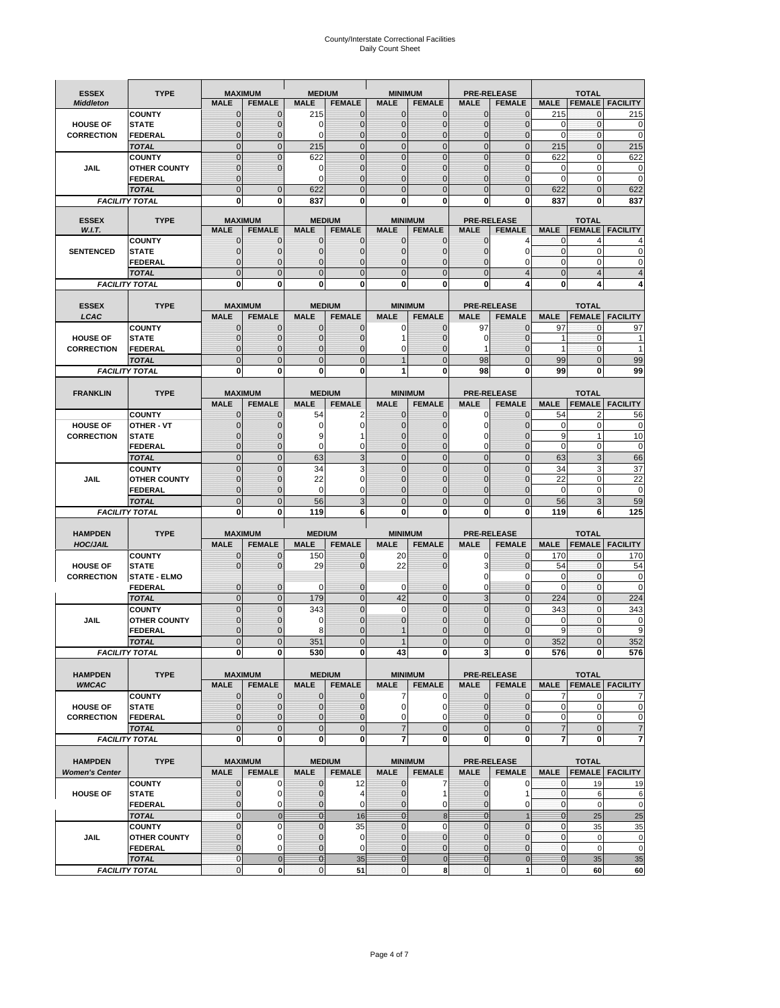# County/Interstate Correctional Facilities Daily Count Sheet

| <b>ESSEX</b>                         | <b>TYPE</b>                           |                                  | <b>MAXIMUM</b>                | <b>MEDIUM</b>                  |                               | <b>MINIMUM</b>                |                                  |                               | <b>PRE-RELEASE</b>            |                               | <b>TOTAL</b>                 |                        |
|--------------------------------------|---------------------------------------|----------------------------------|-------------------------------|--------------------------------|-------------------------------|-------------------------------|----------------------------------|-------------------------------|-------------------------------|-------------------------------|------------------------------|------------------------|
| <b>Middleton</b>                     |                                       | <b>MALE</b>                      | <b>FEMALE</b>                 | <b>MALE</b>                    | <b>FEMALE</b>                 | <b>MALE</b>                   | <b>FEMALE</b>                    | <b>MALE</b>                   | <b>FEMALE</b>                 | <b>MALE</b>                   |                              | <b>FEMALE FACILITY</b> |
|                                      | <b>COUNTY</b>                         | 0                                | $\mathbf 0$                   | 215                            | 0                             | $\mathbf{0}$                  | $\mathbf{0}$                     | $\mathbf{0}$                  | $\Omega$                      | 215                           | 0                            | 215                    |
| <b>HOUSE OF</b>                      | <b>STATE</b>                          | 0                                | $\mathbf 0$                   | $\Omega$                       | 0                             | $\mathbf 0$                   | $\mathbf{0}$                     | $\mathbf{0}$                  | $\Omega$                      | $\Omega$                      | $\mathbf{0}$                 | 0                      |
| <b>CORRECTION</b>                    | <b>FEDERAL</b>                        | $\Omega$<br>$\mathbf 0$          | $\mathbf 0$<br>$\overline{0}$ | $\Omega$                       | $\overline{0}$<br>$\mathbf 0$ | $\mathbf{0}$<br>$\mathbf{0}$  | $\mathbf{0}$<br>$\mathbf 0$      | $\mathbf{0}$<br>$\mathbf 0$   | $\Omega$<br>$\mathbf{0}$      | $\Omega$                      | $\mathbf{0}$<br>$\mathbf{0}$ | $\mathbf 0$<br>215     |
|                                      | <b>TOTAL</b><br><b>COUNTY</b>         | $\mathbf 0$                      | $\mathbf{0}$                  | 215<br>622                     | 0                             | $\mathbf{0}$                  | $\mathbf 0$                      | $\mathbf{0}$                  | $\mathbf 0$                   | 215<br>622                    | 0                            | 622                    |
| JAIL                                 | <b>OTHER COUNTY</b>                   | $\mathbf{0}$                     | $\mathbf 0$                   | 0                              | 0                             | $\mathbf{0}$                  | $\Omega$                         | $\mathbf{0}$                  | ſ                             | $\Omega$                      | $\Omega$                     | 0                      |
|                                      | <b>FEDERAL</b>                        | $\mathbf{0}$                     |                               | $\Omega$                       | $\Omega$                      | $\mathbf 0$                   | $\mathbf 0$                      | $\mathbf{0}$                  | $\mathbf 0$                   | $\mathbf 0$                   | 0                            | $\mathbf 0$            |
|                                      | <b>TOTAL</b>                          | $\Omega$                         | $\overline{0}$                | 622                            | $\Omega$                      | $\mathbf{0}$                  | $\Omega$                         | $\overline{0}$                | $\Omega$                      | 622                           | $\Omega$                     | 622                    |
|                                      | <b>FACILITY TOTAL</b>                 | 0                                | 0                             | 837                            | O                             | $\bf{0}$                      | 0                                | 0                             | 0                             | 837                           | 0                            | 837                    |
| <b>ESSEX</b>                         | <b>TYPE</b>                           |                                  | <b>MAXIMUM</b>                |                                | <b>MEDIUM</b>                 |                               | <b>MINIMUM</b>                   |                               | <b>PRE-RELEASE</b>            |                               | <b>TOTAL</b>                 |                        |
| W.I.T.                               |                                       | <b>MALE</b>                      | <b>FEMALE</b>                 | <b>MALE</b>                    | <b>FEMALE</b>                 | <b>MALE</b>                   | <b>FEMALE</b>                    | <b>MALE</b>                   | <b>FEMALE</b>                 | <b>MALE</b>                   | <b>FEMALE</b>                | <b>FACILITY</b>        |
|                                      | <b>COUNTY</b>                         | $\mathbf{0}$                     | 0                             | $\mathbf 0$                    | $\mathbf{0}$                  | $\mathbf{0}$                  | $\mathbf{0}$                     | 0                             | 4                             | 0                             | 4                            |                        |
| <b>SENTENCED</b>                     | <b>STATE</b>                          | 0                                | $\overline{0}$                | $\mathbf{0}$                   | 0                             | $\mathbf{0}$                  | $\mathbf{0}$                     | $\mathbf 0$                   | 0                             | $\mathbf{0}$                  | $\mathbf 0$                  | 0                      |
|                                      | <b>FEDERAL</b><br><b>TOTAL</b>        | $\overline{0}$<br>$\overline{0}$ | $\mathbf 0$<br>$\overline{0}$ | $\Omega$<br>$\mathbf{0}$       | 0<br>$\overline{0}$           | $\mathbf{0}$<br>$\mathbf{0}$  | $\Omega$<br>$\overline{0}$       | $\mathbf 0$<br>$\overline{0}$ | 0<br>$\overline{4}$           | $\Omega$<br>$\mathbf{0}$      | $\Omega$<br>$\overline{4}$   | $\Omega$               |
|                                      | <b>FACILITY TOTAL</b>                 | $\mathbf{0}$                     | 0                             | $\bf{0}$                       | O                             | $\bf{0}$                      | 0                                | 0                             | 4                             | $\bf{0}$                      | 4                            |                        |
|                                      |                                       |                                  |                               |                                |                               |                               |                                  |                               |                               |                               |                              |                        |
| <b>ESSEX</b>                         | <b>TYPE</b>                           |                                  | <b>MAXIMUM</b>                |                                | <b>MEDIUM</b>                 |                               | <b>MINIMUM</b>                   |                               | <b>PRE-RELEASE</b>            |                               | <b>TOTAL</b>                 |                        |
| LCAC                                 |                                       | <b>MALE</b>                      | <b>FEMALE</b>                 | <b>MALE</b>                    | <b>FEMALE</b>                 | <b>MALE</b>                   | <b>FEMALE</b>                    | <b>MALE</b>                   | <b>FEMALE</b>                 | <b>MALE</b>                   | <b>FEMALE</b>                | <b>FACILITY</b>        |
|                                      | <b>COUNTY</b>                         | 0                                | $\mathbf 0$                   | $\mathbf{0}$                   | 0                             | $\pmb{0}$                     | $\mathbf{0}$                     | 97                            | $\Omega$                      | 97                            | $\mathbf 0$                  | 97                     |
| <b>HOUSE OF</b>                      | <b>STATE</b>                          | $\Omega$                         | $\mathbf 0$<br>$\overline{0}$ | $\Omega$                       | 0<br>0                        | 1                             | $\Omega$                         | $\mathbf 0$                   | $\Omega$<br>$\mathcal{C}$     | 1<br>$\mathbf{1}$             | $\Omega$<br>$\mathbf{0}$     | 1                      |
| <b>CORRECTION</b>                    | <b>FEDERAL</b><br><b>TOTAL</b>        | 0<br>$\overline{0}$              | $\overline{0}$                | $\mathbf{0}$<br>$\overline{0}$ | $\overline{0}$                | 0<br>$\overline{1}$           | $\overline{0}$<br>$\overline{0}$ | 1<br>98                       | $\Omega$                      | 99                            | $\Omega$                     | 99                     |
|                                      | <b>FACILITY TOTAL</b>                 | 0                                | 0                             | 0                              | 0                             | 1                             | 0                                | 98                            | 0                             | 99                            | 0                            | 99                     |
|                                      |                                       |                                  |                               |                                |                               |                               |                                  |                               |                               |                               |                              |                        |
| <b>FRANKLIN</b>                      | <b>TYPE</b>                           |                                  | <b>MAXIMUM</b>                |                                | <b>MEDIUM</b>                 |                               | <b>MINIMUM</b>                   |                               | <b>PRE-RELEASE</b>            |                               | <b>TOTAL</b>                 |                        |
|                                      |                                       | <b>MALE</b>                      | <b>FEMALE</b>                 | <b>MALE</b>                    | <b>FEMALE</b>                 | <b>MALE</b>                   | <b>FEMALE</b>                    | <b>MALE</b>                   | <b>FEMALE</b>                 | <b>MALE</b>                   | <b>FEMALE</b>                | <b>FACILITY</b>        |
|                                      | <b>COUNTY</b>                         | 0                                | 0                             | 54                             | 2                             | $\mathbf{0}$                  | 0                                | 0                             | $\Omega$                      | 54                            | $\overline{2}$               | 56                     |
| <b>HOUSE OF</b><br><b>CORRECTION</b> | <b>OTHER - VT</b><br><b>STATE</b>     | 0<br>0                           | $\overline{0}$<br>$\mathbf 0$ | 0<br>9                         | 0                             | $\mathbf 0$<br>$\mathbf{0}$   | $\Omega$<br>$\Omega$             | $\mathbf 0$<br>0              | $\sqrt{ }$<br>$\sqrt{ }$      | 0<br>9                        | $\mathbf 0$<br>$\mathbf{1}$  | 0<br>10                |
|                                      | <b>FEDERAL</b>                        | $\mathbf{0}$                     | $\overline{0}$                | $\Omega$                       | 0                             | $\mathbf{0}$                  | $\mathbf{0}$                     | 0                             | $\overline{0}$                | $\mathbf 0$                   | $\mathbf 0$                  | $\mathbf 0$            |
|                                      | <b>TOTAL</b>                          | $\mathbf 0$                      | $\mathbf{0}$                  | 63                             | 3                             | $\mathbf{0}$                  | $\overline{0}$                   | $\overline{0}$                | $\overline{0}$                | 63                            | 3                            | 66                     |
|                                      | <b>COUNTY</b>                         | $\mathbf 0$                      | $\mathbf 0$                   | 34                             | 3                             | $\mathbf 0$                   | $\mathbf 0$                      | $\mathbf{0}$                  | $\overline{0}$                | 34                            | 3                            | 37                     |
| <b>JAIL</b>                          | <b>OTHER COUNTY</b>                   | $\overline{0}$                   | $\mathbf 0$                   | 22                             | 0                             | $\Omega$                      | $\Omega$                         | $\mathbf 0$                   | $\sqrt{ }$                    | 22                            | $\Omega$                     | $\overline{22}$        |
|                                      | <b>FEDERAL</b>                        | $\overline{0}$                   | $\overline{0}$                | 0                              | 0                             | $\mathbf{0}$                  | $\overline{0}$                   | $\mathbf{0}$                  | $\mathbf 0$                   | $\mathbf 0$                   | $\mathbf 0$                  | $\mathbf 0$            |
|                                      | <b>TOTAL</b><br><b>FACILITY TOTAL</b> | $\mathbf 0$<br>0                 | $\mathbf 0$<br>0              | 56<br>119                      | 3<br>6                        | $\mathbf 0$<br>$\bf{0}$       | $\overline{0}$<br>0              | $\mathbf 0$<br>0              | $\Omega$<br>0                 | 56<br>119                     | 3<br>6                       | 59<br>125              |
|                                      |                                       |                                  |                               |                                |                               |                               |                                  |                               |                               |                               |                              |                        |
| <b>HAMPDEN</b>                       | <b>TYPE</b>                           |                                  | <b>MAXIMUM</b>                | <b>MEDIUM</b>                  |                               | <b>MINIMUM</b>                |                                  |                               | <b>PRE-RELEASE</b>            |                               | <b>TOTAL</b>                 |                        |
| <b>HOC/JAIL</b>                      |                                       | <b>MALE</b>                      | <b>FEMALE</b>                 | <b>MALE</b>                    | <b>FEMALE</b>                 | <b>MALE</b>                   | <b>FEMALE</b>                    | <b>MALE</b>                   | <b>FEMALE</b>                 | <b>MALE</b>                   | <b>FEMALE</b>                | <b>FACILITY</b>        |
|                                      | <b>COUNTY</b>                         | $\mathbf{0}$                     | 0                             | 150                            | $\mathbf{0}$                  | 20                            | $\mathbf 0$                      | 0                             | $\Omega$                      | 170                           | $\mathbf 0$                  | 170                    |
| <b>HOUSE OF</b><br><b>CORRECTION</b> | <b>STATE</b><br><b>STATE - ELMO</b>   | $\Omega$                         | $\overline{0}$                | 29                             | 0                             | 22                            | $\Omega$                         | 3<br>0                        | $\Omega$<br>$\Omega$          | 54<br>0                       | $\mathbf{0}$<br>$\mathbf{0}$ | 54<br>0                |
|                                      | <b>FEDERAL</b>                        | $\mathbf{0}$                     | $\mathbf 0$                   | 0                              | 0                             | 0                             | $\mathbf 0$                      | $\mathbf 0$                   | $\overline{0}$                | $\Omega$                      | $\mathbf 0$                  | $\mathbf 0$            |
|                                      | <b>TOTAL</b>                          | $\mathbf{0}$                     | $\overline{0}$                | 179                            | $\overline{0}$                | 42                            | $\mathbf{0}$                     | 3                             | $\Omega$                      | 224                           | $\mathbf{0}$                 | 224                    |
|                                      | <b>COUNTY</b>                         | $\Omega$                         | $\overline{0}$                | 343                            | $\overline{0}$                | $\Omega$                      | $\Omega$                         | $\overline{0}$                | $\Omega$                      | 343                           | $\Omega$                     | 343                    |
| JAIL                                 | <b>OTHER COUNTY</b>                   | 0                                | $\mathbf 0$                   | 0                              | 0                             | $\mathbf{0}$                  | $\Omega$                         | $\mathbf 0$                   | $\Omega$                      | $\mathbf 0$                   | $\mathbf{0}$                 | 0                      |
|                                      | <b>FEDERAL</b>                        | $\Omega$                         | $\Omega$                      | 8                              | O                             |                               | $\Omega$                         | $\mathbf 0$                   | $\Omega$                      | 9                             | $\Omega$                     | 9                      |
|                                      | <b>TOTAL</b>                          | $\overline{0}$                   | $\sqrt{ }$                    | 351                            | $\overline{0}$                |                               | $\Omega$                         | $\overline{0}$                |                               | 352                           |                              | 352                    |
|                                      | <b>FACILITY TOTAL</b>                 | $\mathbf{0}$                     | 0                             | 530                            | 0                             | 43                            | 0                                | 3                             | $\mathbf{0}$                  | 576                           | 0                            | 576                    |
| <b>HAMPDEN</b>                       | <b>TYPE</b>                           |                                  | <b>MAXIMUM</b>                |                                | <b>MEDIUM</b>                 |                               | <b>MINIMUM</b>                   |                               | PRE-RELEASE                   |                               | <b>TOTAL</b>                 |                        |
| <b>WMCAC</b>                         |                                       | <b>MALE</b>                      | <b>FEMALE</b>                 | <b>MALE</b>                    | <b>FEMALE</b>                 | <b>MALE</b>                   | <b>FEMALE</b>                    | <b>MALE</b>                   | <b>FEMALE</b>                 | <b>MALE</b>                   |                              | <b>FEMALE FACILITY</b> |
|                                      | <b>COUNTY</b>                         | 0                                | $\mathbf 0$                   | $\mathbf{0}$                   | 0                             | 7                             | 0                                | $\mathbf 0$                   | $\mathbf 0$                   | 7                             | 0                            |                        |
| <b>HOUSE OF</b>                      | <b>STATE</b>                          | 0                                | $\mathbf{0}$                  | $\overline{0}$                 | 0                             | $\mathbf 0$                   | 0                                | $\mathbf{0}$                  | $\mathbf{0}$                  | $\mathbf 0$                   | $\mathbf 0$                  | 0                      |
| <b>CORRECTION</b>                    | <b>FEDERAL</b><br><b>TOTAL</b>        | 0<br>$\mathbf 0$                 | $\overline{0}$<br>$\mathbf 0$ | $\overline{0}$<br>$\mathbf{0}$ | 0<br>$\mathbf 0$              | $\mathbf 0$<br>$\overline{7}$ | 0<br>$\mathbf 0$                 | 0<br>$\mathbf 0$              | $\overline{0}$<br>$\mathbf 0$ | $\mathbf 0$<br>$\overline{7}$ | $\mathbf 0$<br>$\mathbf{0}$  | 0<br>7                 |
|                                      | <b>FACILITY TOTAL</b>                 | 0                                | 0                             | $\mathbf{0}$                   | 0                             | 7                             | 0                                | 0                             | $\mathbf 0$                   | $\overline{7}$                | $\mathbf 0$                  | 7                      |
|                                      |                                       |                                  |                               |                                |                               |                               |                                  |                               |                               |                               |                              |                        |
| <b>HAMPDEN</b>                       | <b>TYPE</b>                           |                                  | <b>MAXIMUM</b>                |                                | <b>MEDIUM</b>                 |                               | <b>MINIMUM</b>                   |                               | <b>PRE-RELEASE</b>            |                               | <b>TOTAL</b>                 |                        |
| <b>Women's Center</b>                |                                       | <b>MALE</b>                      | <b>FEMALE</b>                 | <b>MALE</b>                    | <b>FEMALE</b>                 | <b>MALE</b>                   | <b>FEMALE</b>                    | <b>MALE</b>                   | <b>FEMALE</b>                 | <b>MALE</b>                   |                              | <b>FEMALE FACILITY</b> |
|                                      | <b>COUNTY</b>                         | 0                                | 0<br>$\mathbf 0$              | 0                              | 12                            | $\bf{0}$<br>$\mathbf{0}$      | 7                                | 0<br>$\mathbf 0$              | 0<br>1                        | 0                             | 19                           | <u>19</u>              |
| <b>HOUSE OF</b>                      | <b>STATE</b><br><b>FEDERAL</b>        | $\mathbf{0}$<br>0                | 0                             | $\mathbf 0$<br>0               | 4<br>0                        | $\mathbf 0$                   | 1<br>0                           | $\mathbf{0}$                  | 0                             | $\mathbf{0}$<br>$\mathbf 0$   | 6<br>$\mathbf 0$             | 6<br>$\mathbf 0$       |
|                                      | <b>TOTAL</b>                          | $\mathbf{0}$                     | $\mathbf{0}$                  | $\overline{0}$                 | 16                            | $\overline{0}$                | 8                                | $\mathbf{0}$                  | $\overline{1}$                | $\overline{0}$                | 25                           | 25                     |
|                                      | <b>COUNTY</b>                         | $\mathbf 0$                      | $\mathbf 0$                   | $\mathbf{0}$                   | 35                            | $\mathbf{0}$                  | $\Omega$                         | $\mathbf 0$                   | $\overline{0}$                | $\mathbf{0}$                  | 35                           | 35                     |
| JAIL                                 | <b>OTHER COUNTY</b>                   | $\overline{0}$                   | 0                             | $\mathbf{0}$                   | $\mathbf 0$                   | $\mathbf{0}$                  | $\mathbf{0}$                     | $\mathbf{0}$                  | $\Omega$                      | $\mathbf 0$                   | $\mathbf 0$                  | 0                      |
|                                      | <b>FEDERAL</b>                        | 0                                | 0                             | $\mathbf{0}$                   | $\mathbf 0$                   | $\mathbf 0$                   | $\mathbf{0}$                     | 0                             | $\overline{0}$                | $\mathbf 0$                   | $\mathbf 0$                  | $\pmb{0}$              |
|                                      |                                       |                                  |                               |                                |                               |                               | $\mathbf 0$                      | $\bf{0}$                      | $\pmb{0}$                     | $\mathbf{0}$                  |                              |                        |
|                                      | <b>TOTAL</b><br><b>FACILITY TOTAL</b> | $\mathbf{0}$<br>0                | $\mathbf 0$<br>0              | $\overline{0}$<br>$\pmb{0}$    | 35<br>51                      | $\bf{0}$<br>$\mathbf 0$       | 8                                | $\mathbf{0}$                  | 1                             | $\pmb{0}$                     | 35<br>60                     | 35<br>60               |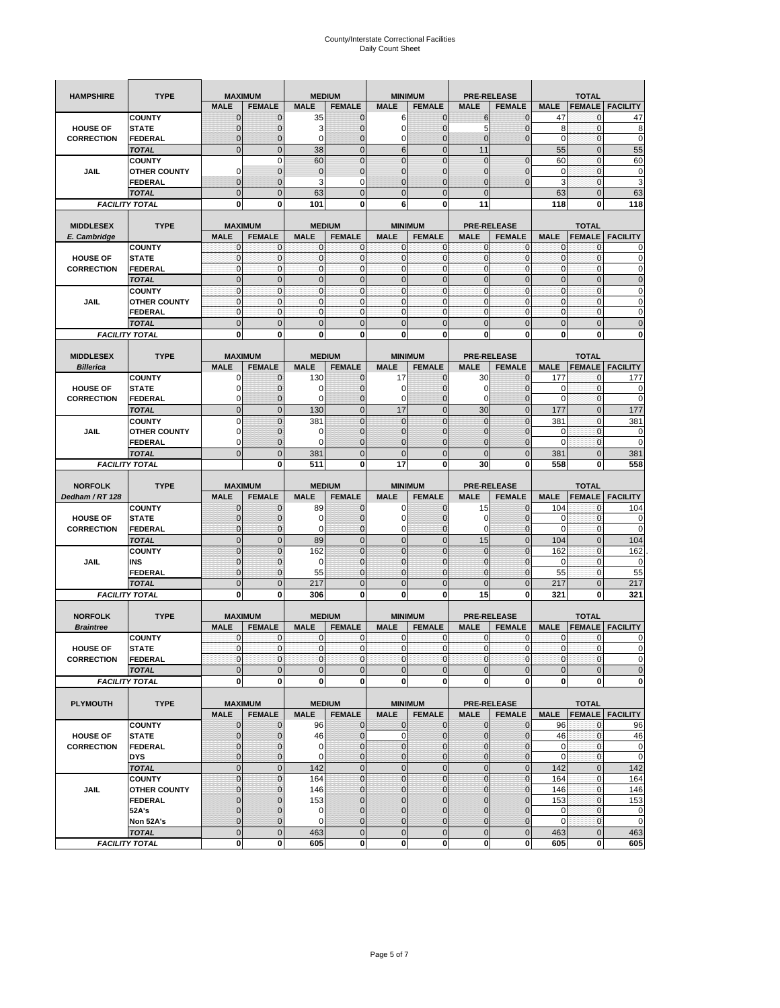| <b>HAMPSHIRE</b>                     | <b>TYPE</b>                    |                             | <b>MAXIMUM</b>              |                            | <b>MEDIUM</b>               |                                | <b>MINIMUM</b>                   |                              | <b>PRE-RELEASE</b>         |                           | <b>TOTAL</b>                 |                            |
|--------------------------------------|--------------------------------|-----------------------------|-----------------------------|----------------------------|-----------------------------|--------------------------------|----------------------------------|------------------------------|----------------------------|---------------------------|------------------------------|----------------------------|
|                                      |                                | <b>MALE</b>                 | <b>FEMALE</b>               | <b>MALE</b>                | <b>FEMALE</b>               | <b>MALE</b>                    | <b>FEMALE</b>                    | <b>MALE</b>                  | <b>FEMALE</b>              | <b>MALE</b>               | <b>FEMALE</b>                | <b>FACILITY</b>            |
|                                      | <b>COUNTY</b>                  | $\mathbf{0}$                | $\mathbf 0$                 | 35                         | $\mathbf{0}$                | 6                              | $\mathbf{0}$                     | 6                            | $\overline{0}$             | 47                        | 0                            | 47                         |
| <b>HOUSE OF</b>                      | <b>STATE</b>                   | $\mathbf 0$                 | 0                           | 3                          | 0                           | $\mathbf 0$                    | $\mathbf 0$                      | 5                            | $\mathbf 0$                | 8                         | $\mathbf{0}$                 | 8                          |
| <b>CORRECTION</b>                    | FEDERAL                        | $\mathbf 0$                 | $\overline{0}$              | 0                          | $\mathbf 0$                 | $\mathbf 0$                    | $\mathbf 0$                      | $\mathbf{0}$                 | $\overline{0}$             | $\mathbf 0$               | $\mathbf{0}$                 | 0                          |
|                                      | <b>TOTAL</b>                   | $\mathbf{0}$                | $\overline{0}$              | 38                         | $\mathbf 0$                 | $6\phantom{1}$                 | $\overline{0}$                   | 11                           |                            | 55                        | $\pmb{0}$                    | 55                         |
|                                      | <b>COUNTY</b>                  |                             | $\mathbf 0$                 | 60                         | $\mathbf 0$                 | $\overline{0}$                 | $\overline{0}$                   | $\mathbf 0$                  | $\mathbf 0$                | 60                        | $\mathbf 0$                  | 60                         |
| <b>JAIL</b>                          | <b>OTHER COUNTY</b>            | 0                           | $\mathbf 0$                 | $\overline{0}$             | $\pmb{0}$                   | $\mathbf{0}$                   | $\mathbf 0$                      | 0                            | $\mathbf 0$                | $\mathbf 0$               | $\mathbf{0}$                 | 0                          |
|                                      | <b>FEDERAL</b>                 | $\mathbf{0}$                | $\mathbf 0$                 | 3                          | 0                           | $\overline{0}$                 | $\mathbf{0}$                     | $\overline{0}$               | $\overline{0}$             | 3                         | $\pmb{0}$                    | 3                          |
|                                      | <b>TOTAL</b>                   | $\mathbf{0}$                | $\mathbf 0$                 | 63                         | $\mathbf 0$                 | $\overline{0}$                 | $\overline{0}$                   | $\mathbf{0}$                 |                            | 63                        | $\mathbf 0$                  | 63                         |
|                                      | <b>FACILITY TOTAL</b>          | 0                           | 0                           | 101                        | 0                           | 6                              | 0                                | 11                           |                            | 118                       | 0                            | 118                        |
|                                      |                                |                             |                             |                            |                             |                                |                                  |                              |                            |                           |                              |                            |
| <b>MIDDLESEX</b>                     | <b>TYPE</b>                    |                             | <b>MAXIMUM</b>              |                            | <b>MEDIUM</b>               |                                | <b>MINIMUM</b>                   |                              | <b>PRE-RELEASE</b>         |                           | <b>TOTAL</b>                 |                            |
| E. Cambridge                         |                                | <b>MALE</b>                 | <b>FEMALE</b>               | <b>MALE</b>                | <b>FEMALE</b>               | <b>MALE</b>                    | <b>FEMALE</b>                    | <b>MALE</b>                  | <b>FEMALE</b>              | <b>MALE</b>               | <b>FEMALE</b>                | <b>FACILITY</b>            |
|                                      | <b>COUNTY</b>                  | 0                           | $\mathbf 0$                 | 0                          | 0                           | 0                              | $\mathbf{0}$                     | 0                            | 0                          | $\mathbf{0}$              | 0                            |                            |
| <b>HOUSE OF</b><br><b>CORRECTION</b> | <b>STATE</b><br><b>FEDERAL</b> | $\pmb{0}$<br>$\mathbf{0}$   | $\mathbf 0$<br>$\mathbf{0}$ | $\mathbf 0$<br>$\mathbf 0$ | $\mathbf 0$<br>$\mathbf{0}$ | $\mathbf{0}$<br>$\mathbf{0}$   | $\mathbf 0$<br>$\mathbf{0}$      | $\mathbf{0}$<br>$\mathbf{0}$ | $\mathbf 0$<br>$\mathbf 0$ | $\pmb{0}$<br>$\mathbf{0}$ | $\mathbf{0}$<br>$\mathbf{0}$ | 0<br>0                     |
|                                      | <b>TOTAL</b>                   | $\mathbf{0}$                | $\overline{0}$              | $\overline{0}$             | $\mathbf 0$                 | $\mathbf{0}$                   | $\mathbf{0}$                     | $\mathbf{0}$                 | $\overline{0}$             | $\pmb{0}$                 | $\mathbf{0}$                 | $\overline{0}$             |
|                                      | <b>COUNTY</b>                  | $\mathbf{0}$                | $\mathbf 0$                 | $\mathbf 0$                | $\mathbf{0}$                | $\mathbf{0}$                   | $\mathbf{0}$                     | $\mathbf{0}$                 | $\mathbf 0$                | $\bf 0$                   | $\pmb{0}$                    | 0                          |
| JAIL                                 | <b>OTHER COUNTY</b>            | $\mathbf{0}$                | $\mathbf 0$                 | $\mathbf 0$                | $\mathbf 0$                 | $\mathbf 0$                    | $\Omega$                         | $\mathbf{0}$                 | $\mathbf 0$                | $\mathbf{0}$              | $\mathbf{0}$                 | 0                          |
|                                      | <b>FEDERAL</b>                 | $\mathbf{0}$                | $\mathbf{0}$                | $\mathbf{0}$               | $\mathbf 0$                 | $\mathbf 0$                    | $\mathbf{0}$                     | $\pmb{0}$                    | $\mathbf 0$                | $\mathbf{0}$              | $\pmb{0}$                    | 0                          |
|                                      | <b>TOTAL</b>                   | $\mathbf{0}$                | $\overline{0}$              | $\mathbf{0}$               | $\mathbf 0$                 | $\mathbf{0}$                   | $\mathbf 0$                      | $\mathbf{0}$                 | $\overline{0}$             | $\mathbf 0$               | $\mathbf 0$                  | $\overline{0}$             |
|                                      | <b>FACILITY TOTAL</b>          | 0                           | 0                           | $\mathbf 0$                | 0                           | 0                              | $\mathbf{0}$                     | $\bf{0}$                     | 0                          | 0                         | 0                            | O                          |
|                                      |                                |                             |                             |                            |                             |                                |                                  |                              |                            |                           |                              |                            |
| <b>MIDDLESEX</b>                     | <b>TYPE</b>                    |                             | <b>MAXIMUM</b>              |                            | <b>MEDIUM</b>               |                                | <b>MINIMUM</b>                   |                              | <b>PRE-RELEASE</b>         |                           | <b>TOTAL</b>                 |                            |
| <b>Billerica</b>                     |                                | <b>MALE</b>                 | <b>FEMALE</b>               | <b>MALE</b>                | <b>FEMALE</b>               | <b>MALE</b>                    | <b>FEMALE</b>                    | <b>MALE</b>                  | <b>FEMALE</b>              | <b>MALE</b>               | <b>FEMALE</b>                | <b>FACILITY</b>            |
|                                      | <b>COUNTY</b>                  | 0                           | $\mathbf 0$                 | 130                        | $\mathbf{0}$                | 17                             | $\mathbf{0}$                     | 30                           | $\overline{0}$             | 177                       | 0                            | 177                        |
| <b>HOUSE OF</b>                      | <b>STATE</b>                   | 0                           | $\overline{0}$              | 0                          | $\mathbf{0}$                | $\mathbf 0$                    | $\mathbf{0}$                     | 0                            | $\overline{0}$             | 0                         | $\mathbf 0$                  | 0                          |
| <b>CORRECTION</b>                    | <b>FEDERAL</b>                 | 0                           | $\mathbf 0$                 | $\Omega$                   | $\mathbf{0}$                | 0                              | $\mathbf{0}$                     | $\mathbf 0$                  | $\mathbf 0$                | $\mathbf 0$               | $\pmb{0}$                    | 0                          |
|                                      | <b>TOTAL</b>                   | $\mathbf{0}$                | $\overline{0}$              | 130                        | $\mathbf{0}$                | 17                             | $\mathbf 0$                      | 30                           | $\overline{0}$             | 177                       | $\mathbf{0}$                 | 177                        |
|                                      | <b>COUNTY</b>                  | $\mathbf 0$                 | $\overline{0}$              | 381                        | $\overline{0}$              | $\overline{0}$                 | $\overline{0}$                   | $\mathbf 0$                  | $\overline{0}$             | 381                       | $\mathbf 0$                  | 381                        |
| <b>JAIL</b>                          | <b>OTHER COUNTY</b>            | 0                           | 0                           | 0                          | 0                           | $\mathbf 0$                    | $\overline{0}$                   | 0                            | 0                          | 0                         | 0                            | 0                          |
|                                      | <b>FEDERAL</b>                 | 0                           | $\overline{0}$              | $\Omega$                   | $\overline{0}$              | $\overline{0}$                 | $\overline{0}$                   | 0                            | $\overline{0}$             | $\mathbf 0$               | $\mathbf{0}$                 | 0                          |
|                                      | <b>TOTAL</b>                   | $\mathbf 0$                 | $\mathbf 0$                 | 381                        | $\mathbf 0$                 | $\overline{0}$                 | $\mathbf 0$                      | $\mathbf{0}$                 | $\mathbf 0$                | 381                       | $\mathbf 0$                  | 381                        |
|                                      | <b>FACILITY TOTAL</b>          |                             | 0                           | 511                        | 0                           | 17                             | 0                                | 30                           | 0                          | 558                       | 0                            | 558                        |
|                                      |                                |                             |                             |                            |                             |                                |                                  |                              |                            |                           |                              |                            |
|                                      |                                |                             |                             |                            |                             |                                |                                  |                              |                            |                           |                              |                            |
| <b>NORFOLK</b>                       | <b>TYPE</b>                    |                             | <b>MAXIMUM</b>              |                            | <b>MEDIUM</b>               |                                | <b>MINIMUM</b>                   |                              | <b>PRE-RELEASE</b>         |                           | <b>TOTAL</b>                 |                            |
| Dedham / RT 128                      |                                | <b>MALE</b>                 | <b>FEMALE</b>               | <b>MALE</b>                | <b>FEMALE</b>               | <b>MALE</b>                    | <b>FEMALE</b>                    | <b>MALE</b>                  | <b>FEMALE</b>              | <b>MALE</b>               | <b>FEMALE</b>                | <b>FACILITY</b>            |
|                                      | <b>COUNTY</b>                  | $\mathbf{0}$                | $\mathbf 0$                 | 89                         | $\mathbf{0}$                | 0                              | $\mathbf{0}$                     | 15                           | $\overline{0}$             | 104                       | 0                            | 104                        |
| <b>HOUSE OF</b>                      | <b>STATE</b>                   | $\mathbf{0}$                | $\overline{0}$              | $\mathbf 0$                | $\overline{0}$              | $\mathbf 0$                    | $\mathbf{0}$                     | 0                            | $\overline{0}$             | 0                         | $\mathbf 0$                  |                            |
| <b>CORRECTION</b>                    | <b>FEDERAL</b>                 | 0                           | 0                           | 0                          | 0                           | 0                              | $\overline{0}$                   | 0                            | 0                          | 0                         | $\bf{0}$                     | 0                          |
|                                      | <b>TOTAL</b>                   | $\mathbf 0$                 | $\mathbf 0$                 | 89                         | $\overline{0}$              | $\mathbf 0$                    | $\overline{0}$                   | 15                           | $\overline{0}$             | 104                       | $\mathbf{0}$                 | 104                        |
|                                      | <b>COUNTY</b>                  | $\mathbf{0}$                | $\overline{0}$              | 162                        | $\overline{0}$              | $\overline{0}$                 | $\overline{0}$                   | $\mathbf 0$                  | $\overline{0}$             | 162                       | $\mathbf 0$                  | 162                        |
| <b>JAIL</b>                          | INS                            | $\mathbf 0$<br>$\mathbf{0}$ | 0<br>$\overline{0}$         | $\mathbf 0$                | 0<br>$\overline{0}$         | $\mathbf{0}$<br>$\overline{0}$ | $\overline{0}$<br>$\overline{0}$ | 0<br>$\overline{0}$          | 0<br>$\mathbf 0$           | 0                         | 0<br>$\mathbf{0}$            | 0                          |
|                                      | FEDERAL<br><b>TOTAL</b>        | $\mathbf 0$                 | $\overline{0}$              | 55<br>217                  | $\overline{0}$              | $\overline{0}$                 | $\overline{0}$                   | $\overline{0}$               | $\overline{0}$             | 55                        | $\overline{0}$               | 55                         |
|                                      | <b>FACILITY TOTAL</b>          | 0                           | 0                           | 306                        | 0                           | 0                              | $\mathbf 0$                      | 15                           | 0                          | 217<br>321                | 0                            | 217<br>321                 |
|                                      |                                |                             |                             |                            |                             |                                |                                  |                              |                            |                           |                              |                            |
| <b>NORFOLK</b>                       | <b>TYPE</b>                    |                             | <b>MAXIMUM</b>              |                            | <b>MEDIUM</b>               |                                | <b>MINIMUM</b>                   |                              | <b>PRE-RELEASE</b>         |                           | <b>TOTAL</b>                 |                            |
| <b>Braintree</b>                     |                                | <b>MALE</b>                 | <b>FEMALE</b>               | <b>MALE</b>                | <b>FEMALE</b>               | <b>MALE</b>                    | <b>FEMALE</b>                    | <b>MALE</b>                  | <b>FEMALE</b>              | <b>MALE</b>               | <b>FEMALE</b>                | <b>FACILITY</b>            |
|                                      | <b>COUNTY</b>                  | 0                           | $\mathbf 0$                 | $\mathbf 0$                | 0                           | 0                              | $\mathbf{0}$                     | 0                            | 0                          | 0                         | 0                            | 0                          |
| <b>HOUSE OF</b>                      | <b>STATE</b>                   | $\mathbf{0}$                | $\mathbf{0}$                | $\mathbf{O}$               | $\overline{0}$              | $\mathbf{0}$                   | $\overline{0}$                   | $\mathbf{0}$                 | $\overline{0}$             | $\mathbf{0}$              | $\mathbf{O}$                 | 0                          |
| <b>CORRECTION</b>                    | FEDERAL                        | $\mathbf 0$                 | 0                           | $\mathbf 0$                | $\bf{0}$                    | $\mathbf 0$                    | $\overline{0}$                   | 0                            | $\mathbf 0$                | $\mathbf 0$               | $\mathbf 0$                  | 0                          |
|                                      | <b>TOTAL</b>                   | $\pmb{0}$                   | $\mathbf 0$                 | $\mathbf 0$                | $\mathbf 0$                 | $\mathbf 0$                    | $\mathbf 0$                      | $\mathbf 0$                  | $\pmb{0}$                  | $\mathbf 0$               | $\pmb{0}$                    | $\mathbf 0$                |
|                                      | <b>FACILITY TOTAL</b>          | $\mathbf 0$                 | 0                           | $\mathbf{0}$               | 0                           | 0                              | <sub>0</sub>                     | $\mathbf 0$                  | 0                          | $\mathbf 0$               | $\mathbf 0$                  | $\mathbf{0}$               |
|                                      |                                |                             |                             |                            |                             |                                |                                  |                              |                            |                           |                              |                            |
| <b>PLYMOUTH</b>                      | <b>TYPE</b>                    |                             | <b>MAXIMUM</b>              |                            | <b>MEDIUM</b>               |                                | <b>MINIMUM</b>                   |                              | <b>PRE-RELEASE</b>         |                           | <b>TOTAL</b>                 |                            |
|                                      |                                | <b>MALE</b>                 | <b>FEMALE</b>               | <b>MALE</b>                | <b>FEMALE</b>               | <b>MALE</b>                    | <b>FEMALE</b>                    | <b>MALE</b>                  | <b>FEMALE</b>              | <b>MALE</b>               |                              | <b>FEMALE</b> FACILITY     |
|                                      | <b>COUNTY</b>                  | $\mathbf{0}$                | $\mathbf{0}$                | 96                         | $\mathbf 0$                 | 0                              | $\mathbf{O}$                     | $\mathbf 0$                  | $\mathbf{0}$               | 96                        | $\mathbf 0$                  | 96                         |
| <b>HOUSE OF</b>                      | <b>STATE</b>                   | $\mathbf 0$                 | $\mathbf 0$                 | 46                         | $\pmb{0}$                   | $\pmb{0}$                      | $\mathbf 0$                      | $\mathbf 0$                  | $\overline{0}$             | 46                        | $\mathbf 0$                  | 46                         |
| <b>CORRECTION</b>                    | <b>FEDERAL</b>                 | $\mathbf{0}$                | $\mathbf 0$                 | 0                          | $\mathbf 0$                 | $\mathbf 0$                    | $\mathbf{0}$                     | 0                            | $\overline{0}$             | $\mathbf 0$               | $\mathbf 0$                  | $\pmb{0}$                  |
|                                      | <b>DYS</b>                     | $\pmb{0}$                   | $\mathbf{0}$                | 0                          | $\pmb{0}$                   | $\mathbf 0$                    | $\mathbf{0}$                     | $\mathbf 0$                  | $\mathbf 0$                | $\mathbf 0$               | $\overline{0}$               | $\mathbf 0$                |
|                                      | <b>TOTAL</b>                   | $\mathbf 0$                 | $\mathbf 0$                 | 142                        | $\mathbf 0$                 | $\mathbf 0$                    | $\mathbf 0$                      | $\mathbf 0$                  | $\pmb{0}$                  | 142                       | $\mathbf{0}$                 | 142                        |
|                                      | <b>COUNTY</b>                  | $\pmb{0}$                   | $\mathbf 0$                 | 164                        | $\mathbf 0$                 | $\mathbf{0}$                   | $\overline{0}$                   | $\mathbf 0$                  | $\pmb{0}$                  | 164                       | $\mathbf 0$                  | 164                        |
| JAIL                                 | <b>OTHER COUNTY</b>            | $\mathbf{0}$                | $\mathbf 0$                 | 146                        | $\pmb{0}$                   | $\mathbf 0$                    | $\overline{0}$                   | 0                            | $\mathbf 0$                | 146                       | $\bf{0}$                     | 146                        |
|                                      | <b>FEDERAL</b>                 | $\mathbf 0$<br>$\mathbf{0}$ | $\mathbf 0$<br>$\mathbf 0$  | 153<br>0                   | 0<br>$\mathbf{0}$           | $\mathbf 0$<br>$\mathbf 0$     | $\mathbf 0$<br>$\overline{0}$    | $\mathbf 0$<br>$\mathbf 0$   | $\mathbf 0$<br>$\mathbf 0$ | 153<br>$\mathbf 0$        | $\mathbf{0}$<br>$\mathbf{0}$ | 153                        |
|                                      | 52A's<br>Non 52A's             | $\mathbf 0$                 | $\mathbf{0}$                | 0                          | 0                           | $\mathbf 0$                    | $\overline{0}$                   | $\mathbf 0$                  | $\mathbf 0$                | $\mathbf 0$               | $\mathbf 0$                  | $\mathbf 0$<br>$\mathbf 0$ |
|                                      | <b>TOTAL</b>                   | $\mathbf{0}$                | $\mathbf 0$                 | 463                        | $\overline{0}$              | $\mathbf 0$                    | $\overline{0}$                   | $\mathbf 0$                  | $\pmb{0}$                  | 463                       | $\pmb{0}$                    | 463                        |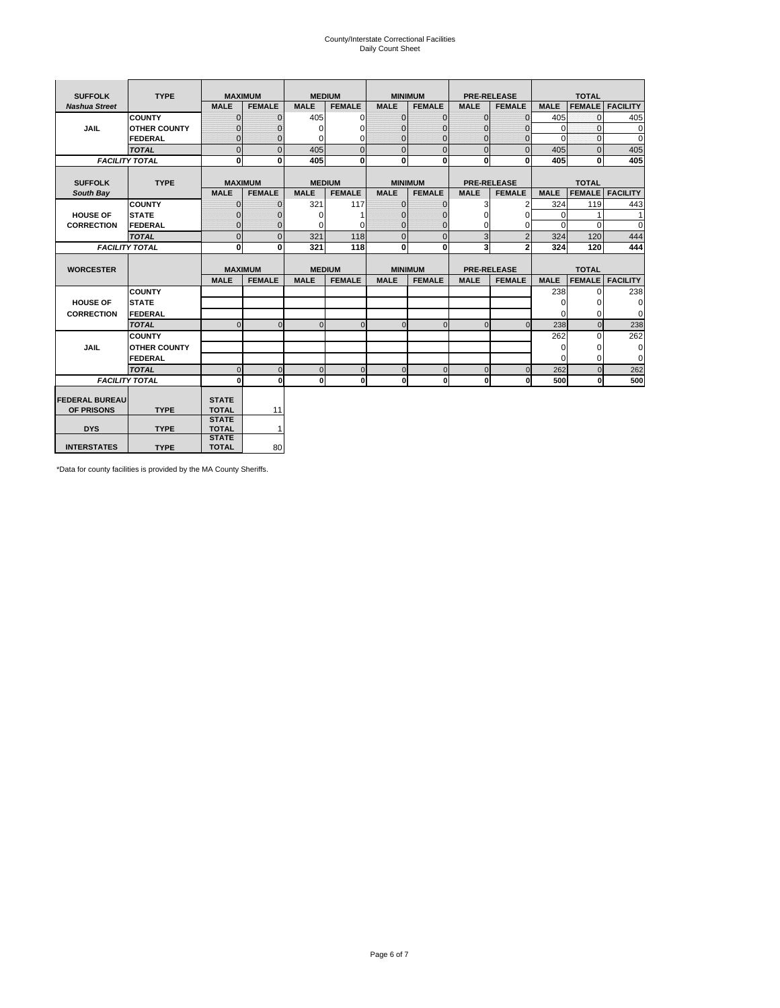# County/Interstate Correctional Facilities Daily Count Sheet

| <b>SUFFOLK</b>        | <b>TYPE</b>           |                              | <b>MAXIMUM</b> |             | <b>MEDIUM</b> |                | <b>MINIMUM</b> |              | <b>PRE-RELEASE</b> |             | <b>TOTAL</b>  |                 |
|-----------------------|-----------------------|------------------------------|----------------|-------------|---------------|----------------|----------------|--------------|--------------------|-------------|---------------|-----------------|
| <b>Nashua Street</b>  |                       | <b>MALE</b>                  | <b>FEMALE</b>  | <b>MALE</b> | <b>FEMALE</b> | <b>MALE</b>    | <b>FEMALE</b>  | <b>MALE</b>  | <b>FEMALE</b>      | <b>MALE</b> | <b>FEMALE</b> | <b>FACILITY</b> |
|                       | <b>COUNTY</b>         | $\Omega$                     | $\mathbf{0}$   | 405         | $\Omega$      | $\mathbf{0}$   | $\Omega$       | $\mathbf{0}$ | $\Omega$           | 405         | $\Omega$      | 405             |
| JAIL                  | <b>OTHER COUNTY</b>   | $\Omega$                     | $\Omega$       | $\Omega$    | 0             | $\Omega$       | $\Omega$       | $\Omega$     | $\Omega$           | $\Omega$    | $\Omega$      | $\mathbf 0$     |
|                       | <b>FEDERAL</b>        | $\mathbf{0}$                 | $\mathbf{0}$   | 0           | 0             | $\mathbf{0}$   | $\mathbf{0}$   | $\mathbf 0$  | $\mathbf{0}$       | $\Omega$    | 0             | 0               |
|                       | <b>TOTAL</b>          | $\Omega$                     | $\Omega$       | 405         | $\Omega$      | $\overline{0}$ | $\Omega$       | $\Omega$     | $\Omega$           | 405         | $\Omega$      | 405             |
|                       | <b>FACILITY TOTAL</b> | 0                            | $\mathbf{0}$   | 405         | $\bf{0}$      | $\mathbf{0}$   | $\bf{0}$       | $\mathbf{0}$ | 0                  | 405         | 0             | 405             |
|                       |                       |                              |                |             |               |                |                |              |                    |             |               |                 |
| <b>SUFFOLK</b>        | <b>TYPE</b>           |                              | <b>MAXIMUM</b> |             | <b>MEDIUM</b> |                | <b>MINIMUM</b> |              | <b>PRE-RELEASE</b> |             | <b>TOTAL</b>  |                 |
| South Bay             |                       | <b>MALE</b>                  | <b>FEMALE</b>  | <b>MALE</b> | <b>FEMALE</b> | <b>MALE</b>    | <b>FEMALE</b>  | <b>MALE</b>  | <b>FEMALE</b>      | <b>MALE</b> | <b>FEMALE</b> | <b>FACILITY</b> |
|                       | <b>COUNTY</b>         | $\Omega$                     | $\mathbf{0}$   | 321         | 117           | $\mathbf{0}$   | $\mathbf{0}$   | 3            | 2                  | 324         | 119           | 443             |
| <b>HOUSE OF</b>       | <b>STATE</b>          |                              | $\overline{0}$ | $\Omega$    |               | $\Omega$       | O              | $\Omega$     | $\Omega$           | $\Omega$    |               | 1               |
| <b>CORRECTION</b>     | <b>FEDERAL</b>        | $\Omega$                     | $\overline{0}$ | 0           | $\Omega$      | $\mathbf{0}$   | $\Omega$       | $\Omega$     | 0                  | $\Omega$    | $\Omega$      | $\Omega$        |
|                       | <b>TOTAL</b>          | $\Omega$                     | $\overline{0}$ | 321         | 118           | $\mathbf{0}$   | $\mathbf{0}$   | 3            | $\overline{2}$     | 324         | 120           | 444             |
|                       | <b>FACILITY TOTAL</b> | 0                            | 0              | 321         | 118           | $\mathbf{0}$   | 0              | 3            | $\mathbf{2}$       | 324         | 120           | 444             |
|                       |                       |                              |                |             |               |                |                |              |                    |             |               |                 |
| <b>WORCESTER</b>      |                       |                              | <b>MAXIMUM</b> |             | <b>MEDIUM</b> |                | <b>MINIMUM</b> |              | <b>PRE-RELEASE</b> |             | <b>TOTAL</b>  |                 |
|                       |                       | <b>MALE</b>                  | <b>FEMALE</b>  | <b>MALE</b> | <b>FEMALE</b> | <b>MALE</b>    | <b>FEMALE</b>  | <b>MALE</b>  | <b>FEMALE</b>      | <b>MALE</b> | <b>FEMALE</b> | <b>FACILITY</b> |
|                       | <b>COUNTY</b>         |                              |                |             |               |                |                |              |                    | 238         | $\Omega$      | 238             |
| <b>HOUSE OF</b>       | <b>STATE</b>          |                              |                |             |               |                |                |              |                    | 0           | 0             | 0               |
| <b>CORRECTION</b>     | FEDERAL               |                              |                |             |               |                |                |              |                    | $\Omega$    | $\Omega$      | 0               |
|                       | <b>TOTAL</b>          | $\Omega$                     | $\mathbf{0}$   | $\Omega$    | $\mathbf 0$   | $\mathbf{0}$   | $\mathbf{0}$   | $\mathbf{0}$ | $\Omega$           | 238         | $\mathbf{0}$  | 238             |
|                       | <b>COUNTY</b>         |                              |                |             |               |                |                |              |                    | 262         | $\Omega$      | 262             |
| <b>JAIL</b>           | <b>OTHER COUNTY</b>   |                              |                |             |               |                |                |              |                    | $\Omega$    | $\Omega$      | 0               |
|                       | FEDERAL               |                              |                |             |               |                |                |              |                    | $\Omega$    | $\Omega$      | $\mathbf 0$     |
|                       | <b>TOTAL</b>          | $\cap$                       | $\Omega$       | $\Omega$    | $\mathbf{0}$  | $\mathbf{0}$   | $\Omega$       | $\Omega$     | $\Omega$           | 262         | $\Omega$      | 262             |
|                       | <b>FACILITY TOTAL</b> | $\Omega$                     | 0              | $\Omega$    | 0             | $\mathbf{0}$   | $\bf{0}$       | $\mathbf 0$  | 0                  | 500         | O             | 500             |
|                       |                       |                              |                |             |               |                |                |              |                    |             |               |                 |
| <b>FEDERAL BUREAU</b> |                       | <b>STATE</b>                 |                |             |               |                |                |              |                    |             |               |                 |
| OF PRISONS            | <b>TYPE</b>           | <b>TOTAL</b><br><b>STATE</b> | 11             |             |               |                |                |              |                    |             |               |                 |
| <b>DYS</b>            | <b>TYPE</b>           | <b>TOTAL</b>                 | $\mathbf{1}$   |             |               |                |                |              |                    |             |               |                 |
|                       |                       |                              |                |             |               |                |                |              |                    |             |               |                 |
|                       |                       | <b>STATE</b>                 |                |             |               |                |                |              |                    |             |               |                 |

\*Data for county facilities is provided by the MA County Sheriffs.